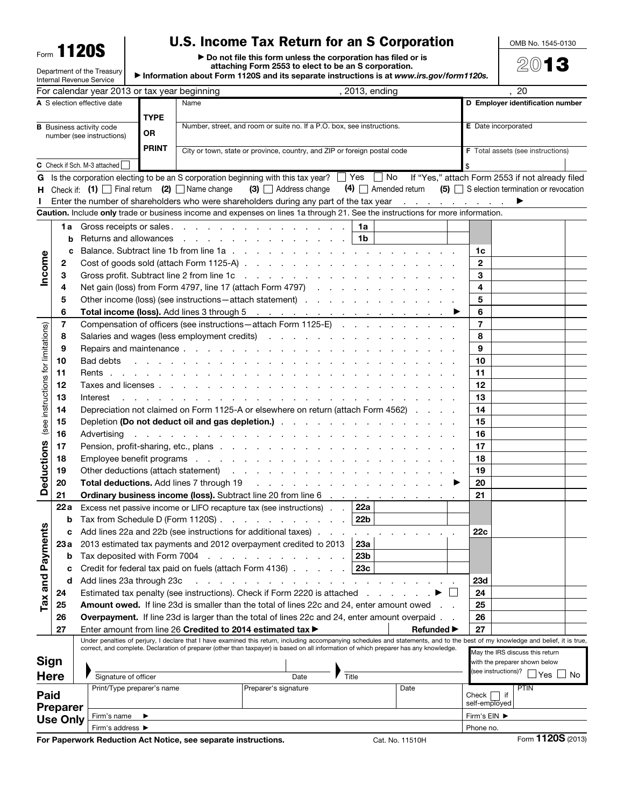Form 1120S

Department of the Treasury

## U.S. Income Tax Return for an S Corporation

OMB No. 1545-0130

2013

▶ Do not file this form unless the corporation has filed or is attaching Form 2553 to elect to be an S corporation.

▶ Information about Form 1120S and its separate instructions is at *www.irs.gov/form1120s.*

| $\blacktriangleright$ information about Form 1120S and its separate instructions is at www.irs.gov/form1120s.<br><b>Internal Revenue Service</b> |                 |                                                                                                                                                                                                                                         |                                                                                                                                                                                                                                |                                                                        |                                                                                                                                                                                                                                                |       |     |                   |    |                                  |                                                                 |                   |  |
|--------------------------------------------------------------------------------------------------------------------------------------------------|-----------------|-----------------------------------------------------------------------------------------------------------------------------------------------------------------------------------------------------------------------------------------|--------------------------------------------------------------------------------------------------------------------------------------------------------------------------------------------------------------------------------|------------------------------------------------------------------------|------------------------------------------------------------------------------------------------------------------------------------------------------------------------------------------------------------------------------------------------|-------|-----|-------------------|----|----------------------------------|-----------------------------------------------------------------|-------------------|--|
| , 2013, ending<br>For calendar year 2013 or tax year beginning                                                                                   |                 |                                                                                                                                                                                                                                         |                                                                                                                                                                                                                                |                                                                        |                                                                                                                                                                                                                                                |       | 20  |                   |    |                                  |                                                                 |                   |  |
| A S election effective date                                                                                                                      |                 |                                                                                                                                                                                                                                         |                                                                                                                                                                                                                                | Name                                                                   |                                                                                                                                                                                                                                                |       |     |                   |    | D Employer identification number |                                                                 |                   |  |
| <b>TYPE</b><br><b>B</b> Business activity code                                                                                                   |                 |                                                                                                                                                                                                                                         |                                                                                                                                                                                                                                |                                                                        |                                                                                                                                                                                                                                                |       |     |                   |    | <b>E</b> Date incorporated       |                                                                 |                   |  |
| <b>OR</b><br>number (see instructions)                                                                                                           |                 |                                                                                                                                                                                                                                         |                                                                                                                                                                                                                                | Number, street, and room or suite no. If a P.O. box, see instructions. |                                                                                                                                                                                                                                                |       |     |                   |    |                                  |                                                                 |                   |  |
| <b>PRINT</b>                                                                                                                                     |                 |                                                                                                                                                                                                                                         |                                                                                                                                                                                                                                |                                                                        | City or town, state or province, country, and ZIP or foreign postal code                                                                                                                                                                       |       |     |                   |    |                                  | <b>F</b> Total assets (see instructions)                        |                   |  |
| C                                                                                                                                                |                 | Check if Sch. M-3 attached                                                                                                                                                                                                              |                                                                                                                                                                                                                                |                                                                        |                                                                                                                                                                                                                                                |       |     |                   |    |                                  |                                                                 |                   |  |
| G                                                                                                                                                |                 |                                                                                                                                                                                                                                         |                                                                                                                                                                                                                                |                                                                        | Is the corporation electing to be an S corporation beginning with this tax year? $\Box$ Yes $\Box$ No                                                                                                                                          |       |     |                   |    |                                  | If "Yes," attach Form 2553 if not already filed                 |                   |  |
|                                                                                                                                                  |                 | H Check if: (1) $\Box$ Final return (2) $\Box$ Name change                                                                                                                                                                              |                                                                                                                                                                                                                                |                                                                        | (3) Address change                                                                                                                                                                                                                             |       |     |                   |    |                                  | $(4)$ Amended return $(5)$ S election termination or revocation |                   |  |
|                                                                                                                                                  |                 |                                                                                                                                                                                                                                         |                                                                                                                                                                                                                                |                                                                        | Enter the number of shareholders who were shareholders during any part of the tax year                                                                                                                                                         |       |     |                   |    |                                  | ▶                                                               |                   |  |
|                                                                                                                                                  |                 |                                                                                                                                                                                                                                         |                                                                                                                                                                                                                                |                                                                        | Caution. Include only trade or business income and expenses on lines 1a through 21. See the instructions for more information.                                                                                                                 |       |     |                   |    |                                  |                                                                 |                   |  |
|                                                                                                                                                  |                 |                                                                                                                                                                                                                                         |                                                                                                                                                                                                                                |                                                                        | 1a Gross receipts or sales.                                                                                                                                                                                                                    |       | 1a  |                   |    |                                  |                                                                 |                   |  |
|                                                                                                                                                  | b               | Returns and allowances                                                                                                                                                                                                                  |                                                                                                                                                                                                                                |                                                                        | the contract of the contract of the contract of the contract of the contract of the contract of the contract of                                                                                                                                |       | 1b  |                   |    |                                  |                                                                 |                   |  |
|                                                                                                                                                  | c               |                                                                                                                                                                                                                                         |                                                                                                                                                                                                                                |                                                                        |                                                                                                                                                                                                                                                |       |     |                   |    | 1c                               |                                                                 |                   |  |
| Income                                                                                                                                           | 2               |                                                                                                                                                                                                                                         |                                                                                                                                                                                                                                |                                                                        |                                                                                                                                                                                                                                                |       |     |                   |    | $\mathbf 2$                      |                                                                 |                   |  |
|                                                                                                                                                  | 3               |                                                                                                                                                                                                                                         |                                                                                                                                                                                                                                |                                                                        |                                                                                                                                                                                                                                                |       |     |                   |    | 3                                |                                                                 |                   |  |
|                                                                                                                                                  | 4               |                                                                                                                                                                                                                                         |                                                                                                                                                                                                                                |                                                                        | Net gain (loss) from Form 4797, line 17 (attach Form 4797)                                                                                                                                                                                     |       |     |                   |    | 4                                |                                                                 |                   |  |
|                                                                                                                                                  | 5               |                                                                                                                                                                                                                                         |                                                                                                                                                                                                                                |                                                                        | Other income (loss) (see instructions - attach statement)                                                                                                                                                                                      |       |     |                   |    | 5                                |                                                                 |                   |  |
|                                                                                                                                                  | 6               |                                                                                                                                                                                                                                         |                                                                                                                                                                                                                                |                                                                        |                                                                                                                                                                                                                                                |       |     |                   |    | 6                                |                                                                 |                   |  |
|                                                                                                                                                  | 7               |                                                                                                                                                                                                                                         |                                                                                                                                                                                                                                |                                                                        | Compensation of officers (see instructions - attach Form 1125-E)                                                                                                                                                                               |       |     |                   |    | $\overline{\mathbf{r}}$          |                                                                 |                   |  |
|                                                                                                                                                  | 8               |                                                                                                                                                                                                                                         |                                                                                                                                                                                                                                |                                                                        |                                                                                                                                                                                                                                                |       |     |                   |    | 8                                |                                                                 |                   |  |
|                                                                                                                                                  | 9               |                                                                                                                                                                                                                                         |                                                                                                                                                                                                                                |                                                                        |                                                                                                                                                                                                                                                |       |     |                   |    | 9                                |                                                                 |                   |  |
|                                                                                                                                                  | 10              | Bad debts                                                                                                                                                                                                                               |                                                                                                                                                                                                                                |                                                                        | and the contract of the contract of the contract of the contract of the contract of                                                                                                                                                            |       |     |                   |    | 10                               |                                                                 |                   |  |
|                                                                                                                                                  | 11              |                                                                                                                                                                                                                                         |                                                                                                                                                                                                                                |                                                                        |                                                                                                                                                                                                                                                |       |     |                   |    | 11                               |                                                                 |                   |  |
|                                                                                                                                                  | 12              |                                                                                                                                                                                                                                         |                                                                                                                                                                                                                                |                                                                        |                                                                                                                                                                                                                                                |       |     |                   |    |                                  |                                                                 |                   |  |
|                                                                                                                                                  | 13              | Interest                                                                                                                                                                                                                                | and the contract of the contract of the contract of the contract of the contract of the contract of the contract of the contract of the contract of the contract of the contract of the contract of the contract of the contra |                                                                        |                                                                                                                                                                                                                                                |       |     |                   |    |                                  |                                                                 |                   |  |
|                                                                                                                                                  | 14              | Depreciation not claimed on Form 1125-A or elsewhere on return (attach Form 4562)                                                                                                                                                       |                                                                                                                                                                                                                                |                                                                        |                                                                                                                                                                                                                                                |       |     |                   |    | 14                               |                                                                 |                   |  |
| (see instructions for limitations)                                                                                                               | 15              |                                                                                                                                                                                                                                         |                                                                                                                                                                                                                                |                                                                        |                                                                                                                                                                                                                                                |       |     |                   |    | 15                               |                                                                 |                   |  |
|                                                                                                                                                  | 16              | Advertising<br>والمتعاون والمتعاون والمتعاون والمتعاون والمتعاونة والمتعاونة والمتعاونة والمتعاونة والمتعاونة والمتعاونة                                                                                                                |                                                                                                                                                                                                                                |                                                                        |                                                                                                                                                                                                                                                |       |     |                   |    | 16                               |                                                                 |                   |  |
|                                                                                                                                                  | 17              |                                                                                                                                                                                                                                         |                                                                                                                                                                                                                                |                                                                        |                                                                                                                                                                                                                                                |       |     |                   |    | 17                               |                                                                 |                   |  |
|                                                                                                                                                  | 18              | Employee benefit programs resources and contact the contract of the contract of the contract of the contract of the contract of the contract of the contract of the contract of the contract of the contract of the contract o          |                                                                                                                                                                                                                                |                                                                        |                                                                                                                                                                                                                                                |       |     |                   |    | 18                               |                                                                 |                   |  |
|                                                                                                                                                  | 19              |                                                                                                                                                                                                                                         |                                                                                                                                                                                                                                |                                                                        |                                                                                                                                                                                                                                                |       |     |                   |    | 19                               |                                                                 |                   |  |
| <b>Deductions</b>                                                                                                                                | 20              | <b>Total deductions.</b> Add lines 7 through 19 (a) and a set of the set of the set of the set of the set of the set of the set of the set of the set of the set of the set of the set of the set of the set of the set of the set<br>▶ |                                                                                                                                                                                                                                |                                                                        |                                                                                                                                                                                                                                                |       |     |                   | 20 |                                  |                                                                 |                   |  |
|                                                                                                                                                  | 21              | Ordinary business income (loss). Subtract line 20 from line 6 mass and contained a state of the state of the 20 from line 6 mass and containing the state of the state of the state of the 20 from line 6 mass and containing           |                                                                                                                                                                                                                                |                                                                        |                                                                                                                                                                                                                                                |       |     |                   |    | 21                               |                                                                 |                   |  |
|                                                                                                                                                  | 22a             |                                                                                                                                                                                                                                         |                                                                                                                                                                                                                                |                                                                        | Excess net passive income or LIFO recapture tax (see instructions).                                                                                                                                                                            |       | 22a |                   |    |                                  |                                                                 |                   |  |
| n                                                                                                                                                | b               |                                                                                                                                                                                                                                         |                                                                                                                                                                                                                                |                                                                        | Tax from Schedule D (Form 1120S) $\ldots$ $\ldots$ $\ldots$ $\ldots$ $\ldots$                                                                                                                                                                  |       | 22b |                   |    |                                  |                                                                 |                   |  |
|                                                                                                                                                  |                 |                                                                                                                                                                                                                                         |                                                                                                                                                                                                                                |                                                                        | Add lines 22a and 22b (see instructions for additional taxes)                                                                                                                                                                                  |       |     |                   |    | 22c                              |                                                                 |                   |  |
|                                                                                                                                                  | 23 а            |                                                                                                                                                                                                                                         |                                                                                                                                                                                                                                |                                                                        | 2013 estimated tax payments and 2012 overpayment credited to 2013                                                                                                                                                                              |       | 23а |                   |    |                                  |                                                                 |                   |  |
|                                                                                                                                                  | b               | Tax deposited with Form 7004                                                                                                                                                                                                            |                                                                                                                                                                                                                                |                                                                        | the contract of the contract of the con-                                                                                                                                                                                                       |       | 23b |                   |    |                                  |                                                                 |                   |  |
| Tax and Payment                                                                                                                                  | c               |                                                                                                                                                                                                                                         |                                                                                                                                                                                                                                |                                                                        | Credit for federal tax paid on fuels (attach Form 4136)                                                                                                                                                                                        |       | 23c |                   |    |                                  |                                                                 |                   |  |
|                                                                                                                                                  | d               | Add lines 23a through 23c                                                                                                                                                                                                               |                                                                                                                                                                                                                                |                                                                        |                                                                                                                                                                                                                                                |       |     |                   |    | <b>23d</b>                       |                                                                 |                   |  |
|                                                                                                                                                  | 24              |                                                                                                                                                                                                                                         |                                                                                                                                                                                                                                |                                                                        | Estimated tax penalty (see instructions). Check if Form 2220 is attached                                                                                                                                                                       |       |     |                   |    | 24                               |                                                                 |                   |  |
|                                                                                                                                                  | 25              |                                                                                                                                                                                                                                         |                                                                                                                                                                                                                                |                                                                        | <b>Amount owed.</b> If line 23d is smaller than the total of lines 22c and 24, enter amount owed                                                                                                                                               |       |     |                   |    | 25                               |                                                                 |                   |  |
|                                                                                                                                                  | 26<br>27        |                                                                                                                                                                                                                                         |                                                                                                                                                                                                                                |                                                                        | <b>Overpayment.</b> If line 23d is larger than the total of lines 22c and 24, enter amount overpaid.                                                                                                                                           |       |     |                   |    | 26<br>27                         |                                                                 |                   |  |
|                                                                                                                                                  |                 |                                                                                                                                                                                                                                         |                                                                                                                                                                                                                                |                                                                        | Enter amount from line 26 Credited to 2014 estimated tax ▶<br>Under penalties of perjury, I declare that I have examined this return, including accompanying schedules and statements, and to the best of my knowledge and belief, it is true, |       |     | <b>Refunded</b> ▶ |    |                                  |                                                                 |                   |  |
|                                                                                                                                                  |                 |                                                                                                                                                                                                                                         |                                                                                                                                                                                                                                |                                                                        | correct, and complete. Declaration of preparer (other than taxpayer) is based on all information of which preparer has any knowledge.                                                                                                          |       |     |                   |    |                                  | May the IRS discuss this return                                 |                   |  |
| <b>Sign</b>                                                                                                                                      |                 |                                                                                                                                                                                                                                         |                                                                                                                                                                                                                                |                                                                        |                                                                                                                                                                                                                                                |       |     |                   |    | with the preparer shown below    |                                                                 |                   |  |
| <b>Here</b>                                                                                                                                      |                 | Signature of officer                                                                                                                                                                                                                    |                                                                                                                                                                                                                                |                                                                        | Date                                                                                                                                                                                                                                           | Title |     |                   |    |                                  | (see instructions)?<br>l lYes l                                 | l No              |  |
|                                                                                                                                                  |                 | Print/Type preparer's name                                                                                                                                                                                                              |                                                                                                                                                                                                                                |                                                                        | Preparer's signature                                                                                                                                                                                                                           |       |     | Date              |    |                                  | <b>PTIN</b>                                                     |                   |  |
| Paid                                                                                                                                             |                 |                                                                                                                                                                                                                                         |                                                                                                                                                                                                                                |                                                                        |                                                                                                                                                                                                                                                |       |     |                   |    | Check<br>self-employed           | $ $ if                                                          |                   |  |
|                                                                                                                                                  | <b>Preparer</b> | Firm's name                                                                                                                                                                                                                             |                                                                                                                                                                                                                                |                                                                        |                                                                                                                                                                                                                                                |       |     |                   |    | Firm's EIN ▶                     |                                                                 |                   |  |
|                                                                                                                                                  | <b>Use Only</b> |                                                                                                                                                                                                                                         | Firm's address ▶                                                                                                                                                                                                               |                                                                        |                                                                                                                                                                                                                                                |       |     |                   |    |                                  | Phone no.                                                       |                   |  |
|                                                                                                                                                  |                 | For Paperwork Reduction Act Notice, see separate instructions.                                                                                                                                                                          |                                                                                                                                                                                                                                |                                                                        |                                                                                                                                                                                                                                                |       |     | Cat. No. 11510H   |    |                                  |                                                                 | Form 1120S (2013) |  |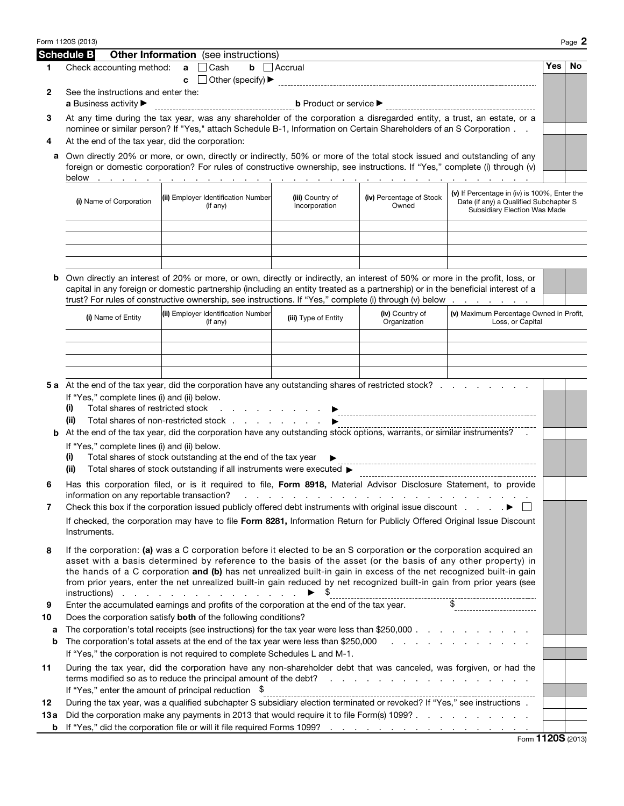|           | Form 1120S (2013)                                                                                                                                                                                                                                                                                                                                                                                                                                                                                       |                                                                                                                                                                                                                                                                                                                                                                           |                                     |                                 |                                                             |     | Page 2 |  |  |
|-----------|---------------------------------------------------------------------------------------------------------------------------------------------------------------------------------------------------------------------------------------------------------------------------------------------------------------------------------------------------------------------------------------------------------------------------------------------------------------------------------------------------------|---------------------------------------------------------------------------------------------------------------------------------------------------------------------------------------------------------------------------------------------------------------------------------------------------------------------------------------------------------------------------|-------------------------------------|---------------------------------|-------------------------------------------------------------|-----|--------|--|--|
|           | <b>Schedule B</b>                                                                                                                                                                                                                                                                                                                                                                                                                                                                                       | <b>Other Information</b> (see instructions)                                                                                                                                                                                                                                                                                                                               |                                     |                                 |                                                             |     |        |  |  |
| 1         | Check accounting method:                                                                                                                                                                                                                                                                                                                                                                                                                                                                                | Cash<br>$\mathbf{a}$<br>c                                                                                                                                                                                                                                                                                                                                                 | $\mathbf{b}$ $\Box$ Accrual         |                                 |                                                             | Yes | No.    |  |  |
| 2         | See the instructions and enter the:<br>a Business activity ▶                                                                                                                                                                                                                                                                                                                                                                                                                                            |                                                                                                                                                                                                                                                                                                                                                                           |                                     |                                 |                                                             |     |        |  |  |
| З         | At any time during the tax year, was any shareholder of the corporation a disregarded entity, a trust, an estate, or a<br>nominee or similar person? If "Yes," attach Schedule B-1, Information on Certain Shareholders of an S Corporation                                                                                                                                                                                                                                                             |                                                                                                                                                                                                                                                                                                                                                                           |                                     |                                 |                                                             |     |        |  |  |
| 4         | At the end of the tax year, did the corporation:                                                                                                                                                                                                                                                                                                                                                                                                                                                        |                                                                                                                                                                                                                                                                                                                                                                           |                                     |                                 |                                                             |     |        |  |  |
| а         | Own directly 20% or more, or own, directly or indirectly, 50% or more of the total stock issued and outstanding of any<br>foreign or domestic corporation? For rules of constructive ownership, see instructions. If "Yes," complete (i) through (v)                                                                                                                                                                                                                                                    |                                                                                                                                                                                                                                                                                                                                                                           |                                     |                                 |                                                             |     |        |  |  |
|           | (v) If Percentage in (iv) is 100%, Enter the<br>(ii) Employer Identification Number<br>(iii) Country of<br>(iv) Percentage of Stock<br>(i) Name of Corporation<br>Date (if any) a Qualified Subchapter S<br>Incorporation<br>Owned<br>(if any)<br><b>Subsidiary Election Was Made</b>                                                                                                                                                                                                                   |                                                                                                                                                                                                                                                                                                                                                                           |                                     |                                 |                                                             |     |        |  |  |
|           |                                                                                                                                                                                                                                                                                                                                                                                                                                                                                                         |                                                                                                                                                                                                                                                                                                                                                                           |                                     |                                 |                                                             |     |        |  |  |
| b         |                                                                                                                                                                                                                                                                                                                                                                                                                                                                                                         | Own directly an interest of 20% or more, or own, directly or indirectly, an interest of 50% or more in the profit, loss, or<br>capital in any foreign or domestic partnership (including an entity treated as a partnership) or in the beneficial interest of a<br>trust? For rules of constructive ownership, see instructions. If "Yes," complete (i) through (v) below |                                     |                                 |                                                             |     |        |  |  |
|           | (i) Name of Entity                                                                                                                                                                                                                                                                                                                                                                                                                                                                                      | (ii) Employer Identification Number<br>(if any)                                                                                                                                                                                                                                                                                                                           | (iii) Type of Entity                | (iv) Country of<br>Organization | (v) Maximum Percentage Owned in Profit,<br>Loss, or Capital |     |        |  |  |
|           |                                                                                                                                                                                                                                                                                                                                                                                                                                                                                                         |                                                                                                                                                                                                                                                                                                                                                                           |                                     |                                 |                                                             |     |        |  |  |
|           |                                                                                                                                                                                                                                                                                                                                                                                                                                                                                                         |                                                                                                                                                                                                                                                                                                                                                                           |                                     |                                 |                                                             |     |        |  |  |
|           |                                                                                                                                                                                                                                                                                                                                                                                                                                                                                                         |                                                                                                                                                                                                                                                                                                                                                                           |                                     |                                 |                                                             |     |        |  |  |
|           |                                                                                                                                                                                                                                                                                                                                                                                                                                                                                                         | 5 a At the end of the tax year, did the corporation have any outstanding shares of restricted stock?                                                                                                                                                                                                                                                                      |                                     |                                 |                                                             |     |        |  |  |
|           | If "Yes," complete lines (i) and (ii) below.<br>Total shares of restricted stock<br>(i)<br>(ii)                                                                                                                                                                                                                                                                                                                                                                                                         |                                                                                                                                                                                                                                                                                                                                                                           | the contract of the contract of the |                                 |                                                             |     |        |  |  |
| b         | Total shares of non-restricted stock<br>At the end of the tax year, did the corporation have any outstanding stock options, warrants, or similar instruments?                                                                                                                                                                                                                                                                                                                                           |                                                                                                                                                                                                                                                                                                                                                                           |                                     |                                 |                                                             |     |        |  |  |
|           | If "Yes," complete lines (i) and (ii) below.<br>(i)                                                                                                                                                                                                                                                                                                                                                                                                                                                     | Total shares of stock outstanding at the end of the tax year                                                                                                                                                                                                                                                                                                              |                                     |                                 |                                                             |     |        |  |  |
|           | (ii)                                                                                                                                                                                                                                                                                                                                                                                                                                                                                                    | Total shares of stock outstanding if all instruments were executed >                                                                                                                                                                                                                                                                                                      |                                     |                                 |                                                             |     |        |  |  |
| 6         | information on any reportable transaction?                                                                                                                                                                                                                                                                                                                                                                                                                                                              | Has this corporation filed, or is it required to file, Form 8918, Material Advisor Disclosure Statement, to provide                                                                                                                                                                                                                                                       |                                     | .                               |                                                             |     |        |  |  |
| 7         |                                                                                                                                                                                                                                                                                                                                                                                                                                                                                                         | Check this box if the corporation issued publicly offered debt instruments with original issue discount $\ldots$ .                                                                                                                                                                                                                                                        |                                     |                                 |                                                             |     |        |  |  |
|           | If checked, the corporation may have to file Form 8281, Information Return for Publicly Offered Original Issue Discount<br>Instruments.                                                                                                                                                                                                                                                                                                                                                                 |                                                                                                                                                                                                                                                                                                                                                                           |                                     |                                 |                                                             |     |        |  |  |
| 8         | If the corporation: (a) was a C corporation before it elected to be an S corporation or the corporation acquired an<br>asset with a basis determined by reference to the basis of the asset (or the basis of any other property) in<br>the hands of a C corporation and (b) has net unrealized built-in gain in excess of the net recognized built-in gain<br>from prior years, enter the net unrealized built-in gain reduced by net recognized built-in gain from prior years (see<br>$instructions)$ |                                                                                                                                                                                                                                                                                                                                                                           |                                     |                                 |                                                             |     |        |  |  |
| 9         | Enter the accumulated earnings and profits of the corporation at the end of the tax year.                                                                                                                                                                                                                                                                                                                                                                                                               |                                                                                                                                                                                                                                                                                                                                                                           |                                     |                                 |                                                             |     |        |  |  |
| 10        | Does the corporation satisfy both of the following conditions?<br>The corporation's total receipts (see instructions) for the tax year were less than \$250,000                                                                                                                                                                                                                                                                                                                                         |                                                                                                                                                                                                                                                                                                                                                                           |                                     |                                 |                                                             |     |        |  |  |
| а<br>b    |                                                                                                                                                                                                                                                                                                                                                                                                                                                                                                         | The corporation's total assets at the end of the tax year were less than \$250,000 $\ldots$ , $\ldots$ , $\ldots$                                                                                                                                                                                                                                                         |                                     |                                 |                                                             |     |        |  |  |
|           |                                                                                                                                                                                                                                                                                                                                                                                                                                                                                                         | If "Yes," the corporation is not required to complete Schedules L and M-1.                                                                                                                                                                                                                                                                                                |                                     |                                 |                                                             |     |        |  |  |
| 11        |                                                                                                                                                                                                                                                                                                                                                                                                                                                                                                         | During the tax year, did the corporation have any non-shareholder debt that was canceled, was forgiven, or had the                                                                                                                                                                                                                                                        |                                     |                                 |                                                             |     |        |  |  |
|           |                                                                                                                                                                                                                                                                                                                                                                                                                                                                                                         | If "Yes," enter the amount of principal reduction $\$$                                                                                                                                                                                                                                                                                                                    |                                     |                                 |                                                             |     |        |  |  |
| 12        | During the tax year, was a qualified subchapter S subsidiary election terminated or revoked? If "Yes," see instructions .<br>Did the corporation make any payments in 2013 that would require it to file Form(s) 1099?                                                                                                                                                                                                                                                                                  |                                                                                                                                                                                                                                                                                                                                                                           |                                     |                                 |                                                             |     |        |  |  |
| 13 a<br>b |                                                                                                                                                                                                                                                                                                                                                                                                                                                                                                         |                                                                                                                                                                                                                                                                                                                                                                           |                                     |                                 |                                                             |     |        |  |  |
|           |                                                                                                                                                                                                                                                                                                                                                                                                                                                                                                         |                                                                                                                                                                                                                                                                                                                                                                           |                                     |                                 | $F_{\text{OCD}}$ 1120S (2013)                               |     |        |  |  |

Form 1120S (2013)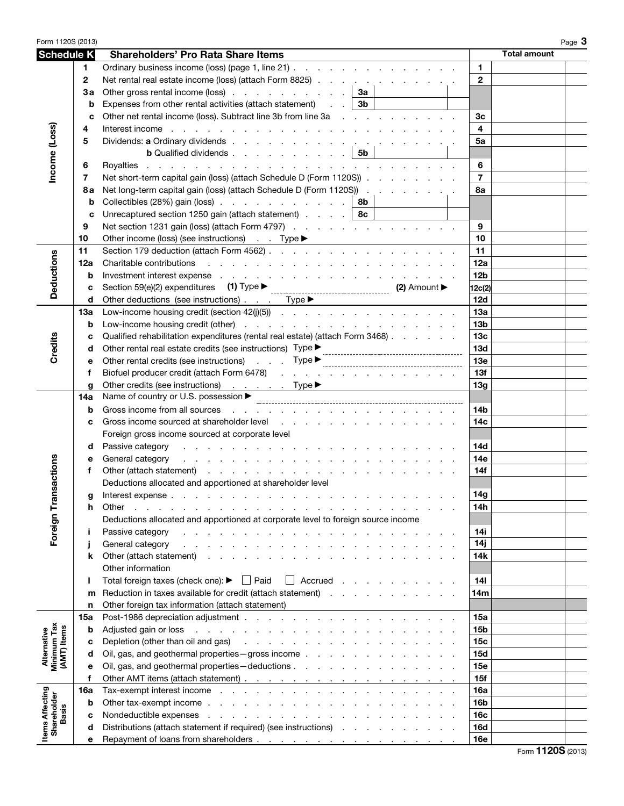| Form 1120S (2013)                         |             |                                                                                                                                                                                                                                                   | Page 3                        |  |  |
|-------------------------------------------|-------------|---------------------------------------------------------------------------------------------------------------------------------------------------------------------------------------------------------------------------------------------------|-------------------------------|--|--|
| <b>Schedule K</b>                         |             | <b>Shareholders' Pro Rata Share Items</b>                                                                                                                                                                                                         | <b>Total amount</b>           |  |  |
|                                           | 1.          | Ordinary business income (loss) (page 1, line 21)                                                                                                                                                                                                 | $\mathbf{1}$                  |  |  |
|                                           | $\mathbf 2$ | Net rental real estate income (loss) (attach Form 8825)                                                                                                                                                                                           | $\mathbf{2}$                  |  |  |
|                                           | Зa          | Other gross rental income (loss) $\ldots$ $\ldots$ $\ldots$ $\ldots$ $\ldots$ $\mid$ 3a                                                                                                                                                           |                               |  |  |
|                                           | b           | Expenses from other rental activities (attach statement) $\therefore$ $\cdot$ 3b                                                                                                                                                                  |                               |  |  |
|                                           | C           | Other net rental income (loss). Subtract line 3b from line 3a                                                                                                                                                                                     | 3 <sub>c</sub>                |  |  |
|                                           | 4           | Interest income by a contract of the contract of the contract of the contract of the contract of the contract of the contract of the contract of the contract of the contract of the contract of the contract of the contract                     | $\overline{\mathbf{4}}$       |  |  |
|                                           | 5           |                                                                                                                                                                                                                                                   | 5a                            |  |  |
| Income (Loss)                             |             | <b>b</b> Qualified dividends $\vert$ 5b                                                                                                                                                                                                           |                               |  |  |
|                                           | 6           |                                                                                                                                                                                                                                                   | 6                             |  |  |
|                                           | 7           | Net short-term capital gain (loss) (attach Schedule D (Form 1120S))                                                                                                                                                                               | $\overline{7}$                |  |  |
|                                           | 8а          | Net long-term capital gain (loss) (attach Schedule D (Form 1120S))                                                                                                                                                                                | 8a                            |  |  |
|                                           | b           | Collectibles (28%) gain (loss) $\ldots$ $\ldots$ $\ldots$ $\ldots$ $\ldots$ $\ldots$ 8b                                                                                                                                                           |                               |  |  |
|                                           | C           | Unrecaptured section 1250 gain (attach statement) $\ldots$ $\ldots$   8c                                                                                                                                                                          |                               |  |  |
|                                           | 9           | Net section 1231 gain (loss) (attach Form 4797)                                                                                                                                                                                                   | 9                             |  |  |
|                                           | 10          |                                                                                                                                                                                                                                                   | 10                            |  |  |
|                                           | 11          |                                                                                                                                                                                                                                                   | 11                            |  |  |
| <b>Deductions</b>                         | 12a         |                                                                                                                                                                                                                                                   | 12a                           |  |  |
|                                           | b           | Investment interest expense response and contact the contact of the contact of the contact of the contact of the contact of the contact of the contact of the contact of the contact of the contact of the contact of the cont                    | 12 <sub>b</sub>               |  |  |
|                                           | c           |                                                                                                                                                                                                                                                   | 12c(2)                        |  |  |
|                                           | d           | Other deductions (see instructions) Type >                                                                                                                                                                                                        | 12d                           |  |  |
|                                           | 13a         |                                                                                                                                                                                                                                                   | 13a                           |  |  |
|                                           | b           |                                                                                                                                                                                                                                                   | 13 <sub>b</sub>               |  |  |
|                                           | c           | Qualified rehabilitation expenditures (rental real estate) (attach Form 3468)                                                                                                                                                                     | 13 <sub>c</sub>               |  |  |
| Credits                                   | d           |                                                                                                                                                                                                                                                   | 13d                           |  |  |
|                                           | е           | Other rental credits (see instructions) Type measurements are not in the contract of the contract of the contract of the contract of the contract of the contract of the contract of the contract of the contract of the                          | <b>13e</b>                    |  |  |
|                                           | f           | Biofuel producer credit (attach Form 6478)                                                                                                                                                                                                        | 13f                           |  |  |
|                                           | g<br>14a    | Other credits (see instructions) Type ▶<br>Name of country or U.S. possession ▶                                                                                                                                                                   | 13g                           |  |  |
|                                           | b           |                                                                                                                                                                                                                                                   | 14b                           |  |  |
|                                           | c           | Gross income sourced at shareholder level experience of the state of the state of the state of the state of the state of the state of the state of the state of the state of the state of the state of the state of the state                     | 14 <sub>c</sub>               |  |  |
|                                           |             | Foreign gross income sourced at corporate level                                                                                                                                                                                                   |                               |  |  |
|                                           | d           | Passive category<br>the contract of the contract of the contract of the contract of the contract of                                                                                                                                               | <b>14d</b>                    |  |  |
|                                           | е           | General category<br>and the companion of the companion of the companion of the companion of the companion of the companion of the companion of the companion of the companion of the companion of the companion of the companion of the companion | 14e                           |  |  |
| sactions                                  | f           |                                                                                                                                                                                                                                                   | 14f                           |  |  |
|                                           |             | Deductions allocated and apportioned at shareholder level                                                                                                                                                                                         |                               |  |  |
|                                           | g           | Interest expense.                                                                                                                                                                                                                                 | 14g                           |  |  |
|                                           | h           | Other<br>the contract of the contract of the contract of the contract of the contract of the contract of the contract of                                                                                                                          | 14h                           |  |  |
|                                           |             | Deductions allocated and apportioned at corporate level to foreign source income                                                                                                                                                                  |                               |  |  |
| Foreign Tran                              | j.          | Passive category<br>والمتحاول والمتحاول والمتحاول والمتحاول والمتحاول والمتحاول والمتحاولة                                                                                                                                                        | 14i                           |  |  |
|                                           | j           | General category                                                                                                                                                                                                                                  | 14j                           |  |  |
|                                           | k           | Other (attach statement)                                                                                                                                                                                                                          | 14k                           |  |  |
|                                           |             | Other information                                                                                                                                                                                                                                 |                               |  |  |
|                                           | ı           | Total foreign taxes (check one): $\blacktriangleright \Box$ Paid<br>$\Box$ Accrued                                                                                                                                                                | 14 <sub>l</sub>               |  |  |
|                                           | m           | Reduction in taxes available for credit (attach statement)                                                                                                                                                                                        | 14m                           |  |  |
|                                           | n           | Other foreign tax information (attach statement)                                                                                                                                                                                                  |                               |  |  |
|                                           | 15a         |                                                                                                                                                                                                                                                   | 15a                           |  |  |
|                                           | b           | Adjusted gain or loss entering to the contract of the contract of the contract of the contract of the contract of the contract of the contract of the contract of the contract of the contract of the contract of the contract                    | <b>15b</b>                    |  |  |
| Alternative<br>Minimum Tax<br>(AMT) Items | c<br>d      | Depletion (other than oil and gas)<br>the contract of the contract of the contract of the contract of<br>Oil, gas, and geothermal properties - gross income                                                                                       | 15 <sub>c</sub><br><b>15d</b> |  |  |
|                                           | е           |                                                                                                                                                                                                                                                   | 15e                           |  |  |
|                                           | f           |                                                                                                                                                                                                                                                   | 15f                           |  |  |
|                                           | 16a         | Tax-exempt interest income enterstance and a series and a series and a series of the series of the series of the series of the series of the series of the series of the series of the series of the series of the series of t                    | 16a                           |  |  |
|                                           | b           |                                                                                                                                                                                                                                                   | 16 <sub>b</sub>               |  |  |
| <b>Basis</b>                              | c           |                                                                                                                                                                                                                                                   | 16c                           |  |  |
| <b>Items Affecting</b><br>Shareholder     | d           | Distributions (attach statement if required) (see instructions)                                                                                                                                                                                   | <b>16d</b>                    |  |  |
|                                           | е           |                                                                                                                                                                                                                                                   | 16e                           |  |  |

Form **1120S** (2013)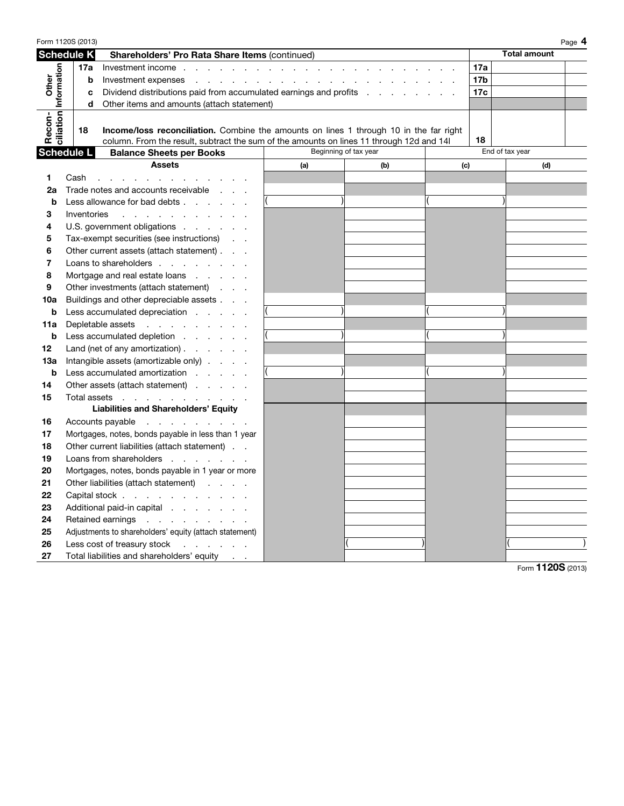| Form 1120S (2013)                                       |                                                                        |             |                                                                                                                                                                                                                                |                       |     |     |                 |                     | Page 4 |
|---------------------------------------------------------|------------------------------------------------------------------------|-------------|--------------------------------------------------------------------------------------------------------------------------------------------------------------------------------------------------------------------------------|-----------------------|-----|-----|-----------------|---------------------|--------|
| <b>Schedule K</b>                                       |                                                                        |             | Shareholders' Pro Rata Share Items (continued)                                                                                                                                                                                 |                       |     |     |                 | <b>Total amount</b> |        |
| ciliation Information<br>Other                          |                                                                        | 17a         |                                                                                                                                                                                                                                |                       |     |     |                 |                     |        |
|                                                         |                                                                        | b           |                                                                                                                                                                                                                                |                       |     |     | 17 <sub>b</sub> |                     |        |
|                                                         | Dividend distributions paid from accumulated earnings and profits<br>c |             |                                                                                                                                                                                                                                |                       |     |     | 17c             |                     |        |
|                                                         | d<br>Other items and amounts (attach statement)                        |             |                                                                                                                                                                                                                                |                       |     |     |                 |                     |        |
|                                                         |                                                                        |             |                                                                                                                                                                                                                                |                       |     |     |                 |                     |        |
| Recon-                                                  |                                                                        | 18          | <b>Income/loss reconciliation.</b> Combine the amounts on lines 1 through 10 in the far right                                                                                                                                  |                       |     |     |                 |                     |        |
|                                                         |                                                                        |             | column. From the result, subtract the sum of the amounts on lines 11 through 12d and 14                                                                                                                                        |                       |     |     | 18              |                     |        |
| <b>Schedule L</b>                                       |                                                                        |             | <b>Balance Sheets per Books</b>                                                                                                                                                                                                | Beginning of tax year |     |     |                 | End of tax year     |        |
|                                                         |                                                                        |             | <b>Assets</b>                                                                                                                                                                                                                  | (a)                   | (b) | (c) |                 | (d)                 |        |
| 1                                                       | Cash                                                                   |             | and the contract of the contract of the contract of the contract of the contract of the contract of the contract of the contract of the contract of the contract of the contract of the contract of the contract of the contra |                       |     |     |                 |                     |        |
| 2a                                                      |                                                                        |             | Trade notes and accounts receivable                                                                                                                                                                                            |                       |     |     |                 |                     |        |
| b                                                       |                                                                        |             | Less allowance for bad debts                                                                                                                                                                                                   |                       |     |     |                 |                     |        |
| 3                                                       |                                                                        | Inventories | the contract of the contract of the con-                                                                                                                                                                                       |                       |     |     |                 |                     |        |
| 4                                                       |                                                                        |             | U.S. government obligations                                                                                                                                                                                                    |                       |     |     |                 |                     |        |
| 5                                                       | Tax-exempt securities (see instructions)                               |             |                                                                                                                                                                                                                                |                       |     |     |                 |                     |        |
| 6                                                       |                                                                        |             | Other current assets (attach statement)                                                                                                                                                                                        |                       |     |     |                 |                     |        |
| 7                                                       | Loans to shareholders                                                  |             |                                                                                                                                                                                                                                |                       |     |     |                 |                     |        |
| 8<br>Mortgage and real estate loans $\ldots$ . $\ldots$ |                                                                        |             |                                                                                                                                                                                                                                |                       |     |     |                 |                     |        |
| 9                                                       |                                                                        |             | Other investments (attach statement)                                                                                                                                                                                           |                       |     |     |                 |                     |        |
| 10a                                                     | Buildings and other depreciable assets                                 |             |                                                                                                                                                                                                                                |                       |     |     |                 |                     |        |
| b                                                       |                                                                        |             | Less accumulated depreciation                                                                                                                                                                                                  |                       |     |     |                 |                     |        |
| 11a                                                     | Depletable assets                                                      |             |                                                                                                                                                                                                                                |                       |     |     |                 |                     |        |
| b                                                       |                                                                        |             | Less accumulated depletion                                                                                                                                                                                                     |                       |     |     |                 |                     |        |
| 12                                                      |                                                                        |             | Land (net of any amortization) $\ldots$ $\ldots$                                                                                                                                                                               |                       |     |     |                 |                     |        |
| 13a                                                     |                                                                        |             | Intangible assets (amortizable only)                                                                                                                                                                                           |                       |     |     |                 |                     |        |
| b                                                       |                                                                        |             | Less accumulated amortization                                                                                                                                                                                                  |                       |     |     |                 |                     |        |
| 14                                                      |                                                                        |             | Other assets (attach statement)                                                                                                                                                                                                |                       |     |     |                 |                     |        |
| 15                                                      |                                                                        |             | Total assets                                                                                                                                                                                                                   |                       |     |     |                 |                     |        |
|                                                         |                                                                        |             | <b>Liabilities and Shareholders' Equity</b>                                                                                                                                                                                    |                       |     |     |                 |                     |        |
| 16                                                      |                                                                        |             | Accounts payable                                                                                                                                                                                                               |                       |     |     |                 |                     |        |
| 17                                                      |                                                                        |             | Mortgages, notes, bonds payable in less than 1 year                                                                                                                                                                            |                       |     |     |                 |                     |        |
| 18                                                      |                                                                        |             | Other current liabilities (attach statement)                                                                                                                                                                                   |                       |     |     |                 |                     |        |
| 19                                                      |                                                                        |             | Loans from shareholders                                                                                                                                                                                                        |                       |     |     |                 |                     |        |
| 20                                                      | Mortgages, notes, bonds payable in 1 year or more                      |             |                                                                                                                                                                                                                                |                       |     |     |                 |                     |        |
| 21                                                      |                                                                        |             | Other liabilities (attach statement)                                                                                                                                                                                           |                       |     |     |                 |                     |        |
| 22                                                      | Capital stock                                                          |             |                                                                                                                                                                                                                                |                       |     |     |                 |                     |        |
| 23                                                      |                                                                        |             | Additional paid-in capital                                                                                                                                                                                                     |                       |     |     |                 |                     |        |
| 24<br>Retained earnings                                 |                                                                        |             |                                                                                                                                                                                                                                |                       |     |     |                 |                     |        |
| 25                                                      |                                                                        |             | Adjustments to shareholders' equity (attach statement)                                                                                                                                                                         |                       |     |     |                 |                     |        |
| 26                                                      |                                                                        |             | Less cost of treasury stock                                                                                                                                                                                                    |                       |     |     |                 |                     |        |
| 27                                                      |                                                                        |             | Total liabilities and shareholders' equity                                                                                                                                                                                     |                       |     |     |                 |                     |        |